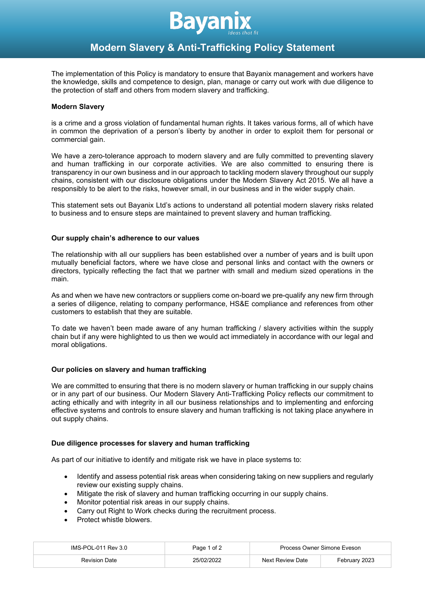

# **Modern Slavery & Anti-Trafficking Policy Statement**

The implementation of this Policy is mandatory to ensure that Bayanix management and workers have the knowledge, skills and competence to design, plan, manage or carry out work with due diligence to the protection of staff and others from modern slavery and trafficking.

## **Modern Slavery**

is a crime and a gross violation of fundamental human rights. It takes various forms, all of which have in common the deprivation of a person's liberty by another in order to exploit them for personal or commercial gain.

We have a zero-tolerance approach to modern slavery and are fully committed to preventing slavery and human trafficking in our corporate activities. We are also committed to ensuring there is transparency in our own business and in our approach to tackling modern slavery throughout our supply chains, consistent with our disclosure obligations under the Modern Slavery Act 2015. We all have a responsibly to be alert to the risks, however small, in our business and in the wider supply chain.

This statement sets out Bayanix Ltd's actions to understand all potential modern slavery risks related to business and to ensure steps are maintained to prevent slavery and human trafficking.

## **Our supply chain's adherence to our values**

The relationship with all our suppliers has been established over a number of years and is built upon mutually beneficial factors, where we have close and personal links and contact with the owners or directors, typically reflecting the fact that we partner with small and medium sized operations in the main.

As and when we have new contractors or suppliers come on-board we pre-qualify any new firm through a series of diligence, relating to company performance, HS&E compliance and references from other customers to establish that they are suitable.

To date we haven't been made aware of any human trafficking / slavery activities within the supply chain but if any were highlighted to us then we would act immediately in accordance with our legal and moral obligations.

# **Our policies on slavery and human trafficking**

We are committed to ensuring that there is no modern slavery or human trafficking in our supply chains or in any part of our business. Our Modern Slavery Anti-Trafficking Policy reflects our commitment to acting ethically and with integrity in all our business relationships and to implementing and enforcing effective systems and controls to ensure slavery and human trafficking is not taking place anywhere in out supply chains.

## **Due diligence processes for slavery and human trafficking**

As part of our initiative to identify and mitigate risk we have in place systems to:

- Identify and assess potential risk areas when considering taking on new suppliers and regularly review our existing supply chains.
- Mitigate the risk of slavery and human trafficking occurring in our supply chains.
- Monitor potential risk areas in our supply chains.
- Carry out Right to Work checks during the recruitment process.
- Protect whistle blowers.

| IMS-POL-011 Rev 3.0 | Page 1 of 2 | Process Owner Simone Eveson |               |
|---------------------|-------------|-----------------------------|---------------|
| Revision Date       | 25/02/2022  | Next Review Date            | February 2023 |